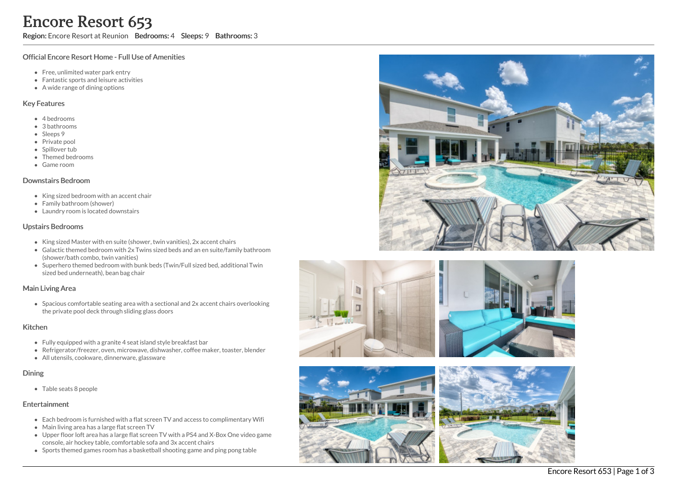Region: Encore Resort at Reunion Bedrooms: 4 Sleeps: 9 Bathrooms: 3

## Official Encore Resort Home - Full Use of Amenities

- Free, unlimited water park entry
- Fantastic sports and leisure activities
- A wide range of dining options

#### Key Features

- 4 b e d r o o m s
- 3 bathrooms
- Sleeps 9
- Private pool
- Spillover tub
- Themed bedr o o m s
- G a m e r o o m

#### Downstairs Bedroom

- King sized bedroom with an accent chair
- Family bathroom (shower)
- Laundry room is located downstairs

### Upstairs Bedrooms

- King sized Master with en suite (shower, twin vanities), 2x accent chairs
- Galactic themed bedroom with 2x Twins sized beds and an en suite/family bathroom (shower/bath combo, twin vanities)
- Superhero themed bedroom with bunk beds (Twin/Full sized bed, additional Twin sized bed underneath), bean bag chair

## Main Living Area

Spacious comfortable seating area with a sectional and 2x accent chairs overlooking the private pool deck through sliding glass doors

#### **Kitchen**

- Fully equipped with a granite 4 seat island style breakfast bar
- Refrigerator/freezer, oven, microwave, dishwasher, coffee maker, toaster, blender
- All utensils, cookware, dinnerware, glassware

#### Dinin g

Table seats 8 people

## **Entertainment**

- Each bedroom is furnished with a flat screen TV and access to complimentary Wifi
- Main living area has a large flat screen TV
- Upper floor loft area has a large flat screen TV with a PS4 and X-Box One video gam e console, air hockey table, comfortable sofa and 3x accent chairs
- Sports themed games room has a basketball shooting game and ping pong table







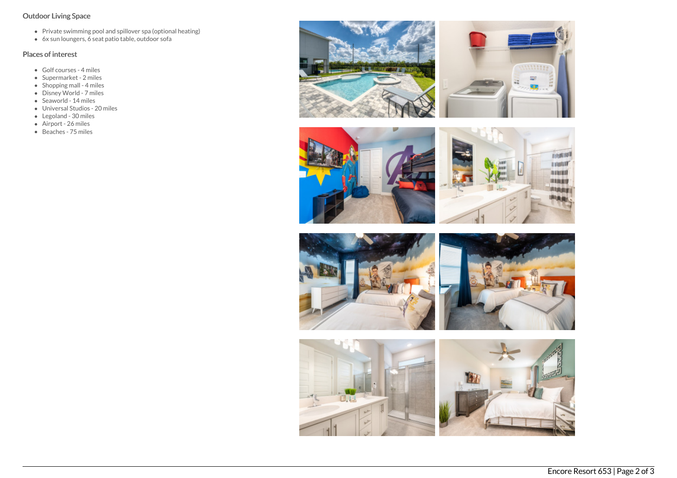# Outdoor Living Space

- Private swimming pool and spillover spa (optional heating)
- 6x sun loungers, 6 seat patio table, outdoor sofa

# Places of interest

- Golf courses 4 miles
- Supermarket 2 miles
- Shopping mall 4 miles
- Disney World 7 miles
- Seaworld 14 miles
- Universal Studios 20 miles
- Legoland 30 miles
- Airport 26 miles
- Beaches 75 miles